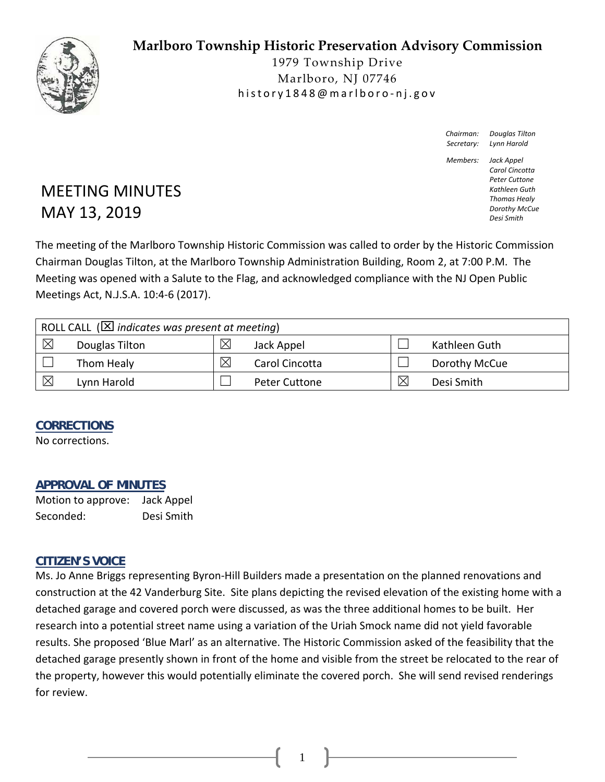# **Marlboro Township Historic Preservation Advisory Commission**



1979 Township Drive Marlboro, NJ 07746 history1848@marlboro ‐ nj.gov

> *Chairman: Douglas Tilton Secretary: Lynn Harold*

*Members: Jack Appel Carol Cincotta Peter Cuttone Kathleen Guth Thomas Healy Dorothy McCue*

*Desi Smith*

# MEETING MINUTES MAY 13, 2019

The meeting of the Marlboro Township Historic Commission was called to order by the Historic Commission Chairman Douglas Tilton, at the Marlboro Township Administration Building, Room 2, at 7:00 P.M. The Meeting was opened with a Salute to the Flag, and acknowledged compliance with the NJ Open Public Meetings Act, N.J.S.A. 10:4‐6 (2017).

| ROLL CALL ( $\boxtimes$ indicates was present at meeting) |                |             |                      |   |               |  |
|-----------------------------------------------------------|----------------|-------------|----------------------|---|---------------|--|
| $\boxtimes$                                               | Douglas Tilton | $\boxtimes$ | Jack Appel           |   | Kathleen Guth |  |
|                                                           | Thom Healy     | ⊠           | Carol Cincotta       |   | Dorothy McCue |  |
| $\times$                                                  | Lynn Harold    |             | <b>Peter Cuttone</b> | ⊠ | Desi Smith    |  |

### **CORRECTIONS**

No corrections.

### **APPROVAL OF MINUTES**

Motion to approve: Jack Appel Seconded: Desi Smith

### **CITIZEN'S VOICE**

Ms. Jo Anne Briggs representing Byron‐Hill Builders made a presentation on the planned renovations and construction at the 42 Vanderburg Site. Site plans depicting the revised elevation of the existing home with a detached garage and covered porch were discussed, as was the three additional homes to be built. Her research into a potential street name using a variation of the Uriah Smock name did not yield favorable results. She proposed 'Blue Marl' as an alternative. The Historic Commission asked of the feasibility that the detached garage presently shown in front of the home and visible from the street be relocated to the rear of the property, however this would potentially eliminate the covered porch. She will send revised renderings for review.

1